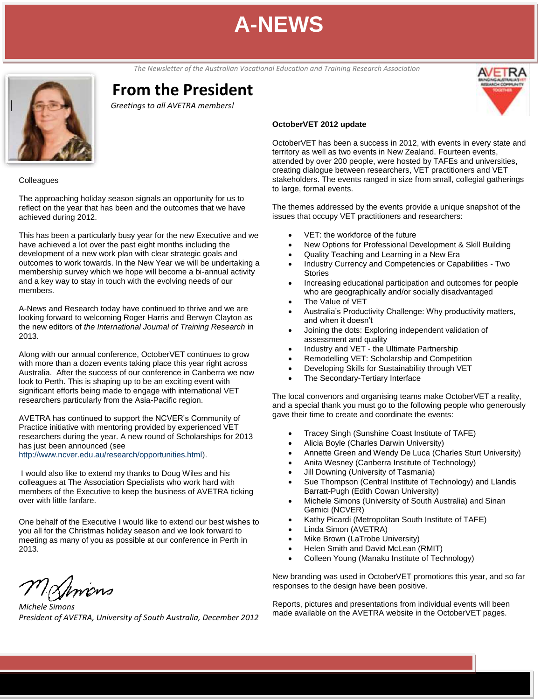**June 2012** *The Newsletter of the Australian Vocational Education and Training Research Association*

# **From the President**

*Greetings to all AVETRA members!*

#### **Colleagues**

The approaching holiday season signals an opportunity for us to reflect on the year that has been and the outcomes that we have achieved during 2012.

This has been a particularly busy year for the new Executive and we have achieved a lot over the past eight months including the development of a new work plan with clear strategic goals and outcomes to work towards. In the New Year we will be undertaking a membership survey which we hope will become a bi-annual activity and a key way to stay in touch with the evolving needs of our members.

A-News and Research today have continued to thrive and we are looking forward to welcoming Roger Harris and Berwyn Clayton as the new editors of *the International Journal of Training Research* in 2013.

Along with our annual conference, OctoberVET continues to grow with more than a dozen events taking place this year right across Australia. After the success of our conference in Canberra we now look to Perth. This is shaping up to be an exciting event with significant efforts being made to engage with international VET researchers particularly from the Asia-Pacific region.

AVETRA has continued to support the NCVER's Community of Practice initiative with mentoring provided by experienced VET researchers during the year. A new round of Scholarships for 2013 has just been announced (see [http://www.ncver.edu.au/research/opportunities.html\)](http://www.ncver.edu.au/research/opportunities.html).

I would also like to extend my thanks to Doug Wiles and his colleagues at The Association Specialists who work hard with members of the Executive to keep the business of AVETRA ticking over with little fanfare.

One behalf of the Executive I would like to extend our best wishes to you all for the Christmas holiday season and we look forward to meeting as many of you as possible at our conference in Perth in 2013.

MJmons

*Michele Simons President of AVETRA, University of South Australia, December 2012*

### **OctoberVET 2012 update**

OctoberVET has been a success in 2012, with events in every state and territory as well as two events in New Zealand. Fourteen events, attended by over 200 people, were hosted by TAFEs and universities, creating dialogue between researchers, VET practitioners and VET stakeholders. The events ranged in size from small, collegial gatherings to large, formal events.

The themes addressed by the events provide a unique snapshot of the issues that occupy VET practitioners and researchers:

- VET: the workforce of the future
- New Options for Professional Development & Skill Building
- Quality Teaching and Learning in a New Era
- Industry Currency and Competencies or Capabilities Two **Stories**
- Increasing educational participation and outcomes for people who are geographically and/or socially disadvantaged
- The Value of VET
- Australia's Productivity Challenge: Why productivity matters, and when it doesn't
- Joining the dots: Exploring independent validation of assessment and quality
- Industry and VET the Ultimate Partnership
- Remodelling VET: Scholarship and Competition
- Developing Skills for Sustainability through VET
- The Secondary-Tertiary Interface

The local convenors and organising teams make OctoberVET a reality, and a special thank you must go to the following people who generously gave their time to create and coordinate the events:

- Tracey Singh (Sunshine Coast Institute of TAFE)
- Alicia Boyle (Charles Darwin University)
- Annette Green and Wendy De Luca (Charles Sturt University)
- Anita Wesney (Canberra Institute of Technology)
- Jill Downing (University of Tasmania)
- Sue Thompson (Central Institute of Technology) and Llandis Barratt-Pugh (Edith Cowan University)
- Michele Simons (University of South Australia) and Sinan Gemici (NCVER)
- Kathy Picardi (Metropolitan South Institute of TAFE)
- Linda Simon (AVETRA)
- Mike Brown (LaTrobe University)
- Helen Smith and David McLean (RMIT)
- Colleen Young (Manaku Institute of Technology)

New branding was used in OctoberVET promotions this year, and so far responses to the design have been positive.

Reports, pictures and presentations from individual events will been made available on the AVETRA website in the OctoberVET pages.

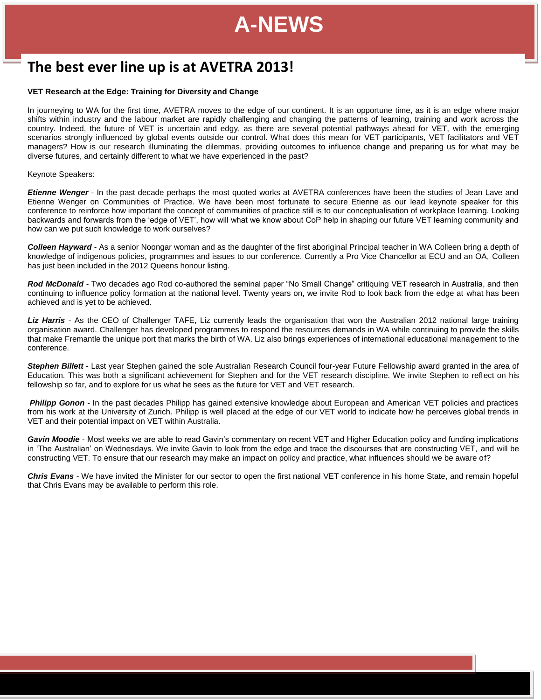# The best ever line up is at AVETRA 2013!

### **VET Research at the Edge: Training for Diversity and Change**

In journeying to WA for the first time, AVETRA moves to the edge of our continent. It is an opportune time, as it is an edge where major shifts within industry and the labour market are rapidly challenging and changing the patterns of learning, training and work across the country. Indeed, the future of VET is uncertain and edgy, as there are several potential pathways ahead for VET, with the emerging scenarios strongly influenced by global events outside our control. What does this mean for VET participants, VET facilitators and VET managers? How is our research illuminating the dilemmas, providing outcomes to influence change and preparing us for what may be diverse futures, and certainly different to what we have experienced in the past?

### Keynote Speakers:

*Etienne Wenger* - In the past decade perhaps the most quoted works at AVETRA conferences have been the studies of Jean Lave and Etienne Wenger on Communities of Practice. We have been most fortunate to secure Etienne as our lead keynote speaker for this conference to reinforce how important the concept of communities of practice still is to our conceptualisation of workplace learning. Looking backwards and forwards from the 'edge of VET', how will what we know about CoP help in shaping our future VET learning community and how can we put such knowledge to work ourselves?

*Colleen Hayward* - As a senior Noongar woman and as the daughter of the first aboriginal Principal teacher in WA Colleen bring a depth of knowledge of indigenous policies, programmes and issues to our conference. Currently a Pro Vice Chancellor at ECU and an OA, Colleen has just been included in the 2012 Queens honour listing.

*Rod McDonald* - Two decades ago Rod co-authored the seminal paper "No Small Change" critiquing VET research in Australia, and then continuing to influence policy formation at the national level. Twenty years on, we invite Rod to look back from the edge at what has been achieved and is yet to be achieved.

Liz Harris - As the CEO of Challenger TAFE, Liz currently leads the organisation that won the Australian 2012 national large training organisation award. Challenger has developed programmes to respond the resources demands in WA while continuing to provide the skills that make Fremantle the unique port that marks the birth of WA. Liz also brings experiences of international educational management to the conference.

*Stephen Billett* - Last year Stephen gained the sole Australian Research Council four-year Future Fellowship award granted in the area of Education. This was both a significant achievement for Stephen and for the VET research discipline. We invite Stephen to reflect on his fellowship so far, and to explore for us what he sees as the future for VET and VET research.

**Philipp Gonon** - In the past decades Philipp has gained extensive knowledge about European and American VET policies and practices from his work at the University of Zurich. Philipp is well placed at the edge of our VET world to indicate how he perceives global trends in VET and their potential impact on VET within Australia.

*Gavin Moodie* - Most weeks we are able to read Gavin's commentary on recent VET and Higher Education policy and funding implications in 'The Australian' on Wednesdays. We invite Gavin to look from the edge and trace the discourses that are constructing VET, and will be constructing VET. To ensure that our research may make an impact on policy and practice, what influences should we be aware of?

*Chris Evans* - We have invited the Minister for our sector to open the first national VET conference in his home State, and remain hopeful that Chris Evans may be available to perform this role.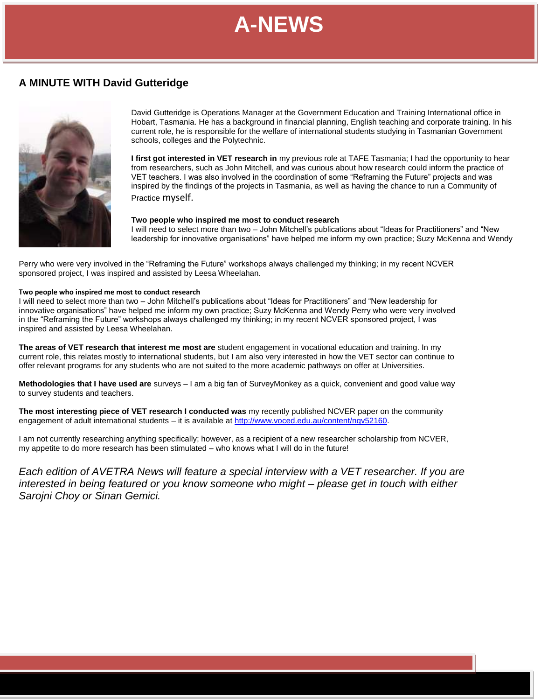# **A MINUTE WITH David Gutteridge**



David Gutteridge is Operations Manager at the Government Education and Training International office in Hobart, Tasmania. He has a background in financial planning, English teaching and corporate training. In his current role, he is responsible for the welfare of international students studying in Tasmanian Government schools, colleges and the Polytechnic.

**I first got interested in VET research in** my previous role at TAFE Tasmania; I had the opportunity to hear from researchers, such as John Mitchell, and was curious about how research could inform the practice of VET teachers. I was also involved in the coordination of some "Reframing the Future" projects and was inspired by the findings of the projects in Tasmania, as well as having the chance to run a Community of Practice myself.

#### **Two people who inspired me most to conduct research**

I will need to select more than two – John Mitchell's publications about "Ideas for Practitioners" and "New leadership for innovative organisations" have helped me inform my own practice; Suzy McKenna and Wendy

Perry who were very involved in the "Reframing the Future" workshops always challenged my thinking; in my recent NCVER sponsored project, I was inspired and assisted by Leesa Wheelahan.

#### **Two people who inspired me most to conduct research**

I will need to select more than two – John Mitchell's publications about "Ideas for Practitioners" and "New leadership for innovative organisations" have helped me inform my own practice; Suzy McKenna and Wendy Perry who were very involved in the "Reframing the Future" workshops always challenged my thinking; in my recent NCVER sponsored project, I was inspired and assisted by Leesa Wheelahan.

**The areas of VET research that interest me most are** student engagement in vocational education and training. In my current role, this relates mostly to international students, but I am also very interested in how the VET sector can continue to offer relevant programs for any students who are not suited to the more academic pathways on offer at Universities.

**Methodologies that I have used are** surveys – I am a big fan of SurveyMonkey as a quick, convenient and good value way to survey students and teachers.

**The most interesting piece of VET research I conducted was** my recently published NCVER paper on the community engagement of adult international students – it is available a[t http://www.voced.edu.au/content/ngv52160.](http://www.voced.edu.au/content/ngv52160)

I am not currently researching anything specifically; however, as a recipient of a new researcher scholarship from NCVER, my appetite to do more research has been stimulated – who knows what I will do in the future!

*Each edition of AVETRA News will feature a special interview with a VET researcher. If you are interested in being featured or you know someone who might – please get in touch with either Sarojni Choy or Sinan Gemici.*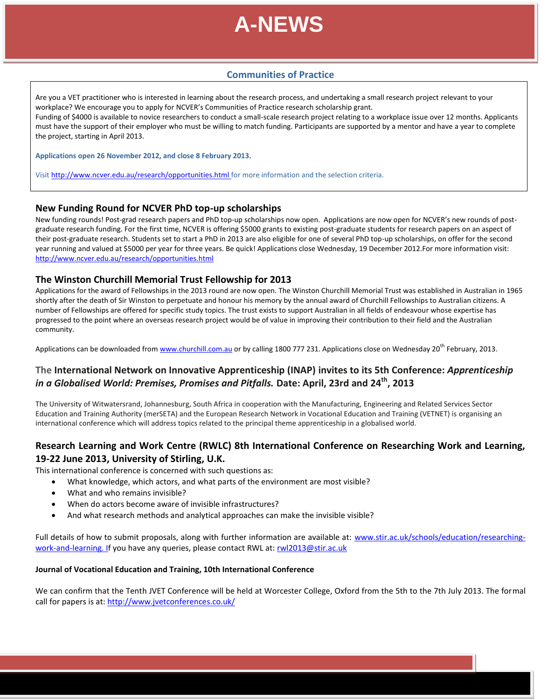

## **Communities of Practice**

Are you a VET practitioner who is interested in learning about the research process, and undertaking a small research project relevant to your workplace? We encourage you to apply for NCVER's Communities of Practice research scholarship grant. Funding of \$4000 is available to novice researchers to conduct a small-scale research project relating to a workplace issue over 12 months. Applicants must have the support of their employer who must be willing to match funding. Participants are supported by a mentor and have a year to complete the project, starting in April 2013.

**Applications open 26 November 2012, and close 8 February 2013.**

Visit<http://www.ncver.edu.au/research/opportunities.html> for more information and the selection criteria.

### **New Funding Round for NCVER PhD top-up scholarships**

New funding rounds! Post-grad research papers and PhD top-up scholarships now open. Applications are now open for NCVER's new rounds of postgraduate research funding. For the first time, NCVER is offering \$5000 grants to existing post-graduate students for research papers on an aspect of their post-graduate research. Students set to start a PhD in 2013 are also eligible for one of several PhD top-up scholarships, on offer for the second year running and valued at \$5000 per year for three years. Be quick! Applications close Wednesday, 19 December 2012.For more information visit: <http://www.ncver.edu.au/research/opportunities.html>

### **The Winston Churchill Memorial Trust Fellowship for 2013**

Applications for the award of Fellowships in the 2013 round are now open. The Winston Churchill Memorial Trust was established in Australian in 1965 shortly after the death of Sir Winston to perpetuate and honour his memory by the annual award of Churchill Fellowships to Australian citizens. A number of Fellowships are offered for specific study topics. The trust exists to support Australian in all fields of endeavour whose expertise has progressed to the point where an overseas research project would be of value in improving their contribution to their field and the Australian community.

Applications can be downloaded from [www.churchill.com.au](http://www.churchill.com.au/) or by calling 1800 777 231. Applications close on Wednesday 20<sup>th</sup> February, 2013.

# **The International Network on Innovative Apprenticeship (INAP) invites to its 5th Conference:** *Apprenticeship in a Globalised World: Premises, Promises and Pitfalls.* **Date: April, 23rd and 24th , 2013**

The University of Witwatersrand, Johannesburg, South Africa in cooperation with the Manufacturing, Engineering and Related Services Sector Education and Training Authority (merSETA) and the European Research Network in Vocational Education and Training (VETNET) is organising an international conference which will address topics related to the principal theme apprenticeship in a globalised world.

## **Research Learning and Work Centre (RWLC) 8th International Conference on Researching Work and Learning, 19-22 June 2013, University of Stirling, U.K.**

This international conference is concerned with such questions as:

- What knowledge, which actors, and what parts of the environment are most visible?
- What and who remains invisible?
- When do actors become aware of invisible infrastructures?
- And what research methods and analytical approaches can make the invisible visible?

Full details of how to submit proposals, along with further information are available at: [www.stir.ac.uk/schools/education/researching](http://www.stir.ac.uk/schools/education/researching-work-and-learning)[work-and-learning.](http://www.stir.ac.uk/schools/education/researching-work-and-learning) If you have any queries, please contact RWL at[: rwl2013@stir.ac.uk](mailto:rwl2013@stir.ac.uk)

### **Journal of Vocational Education and Training, 10th International Conference**

We can confirm that the Tenth JVET Conference will be held at Worcester College, Oxford from the 5th to the 7th July 2013. The formal call for papers is at: <http://www.jvetconferences.co.uk/>